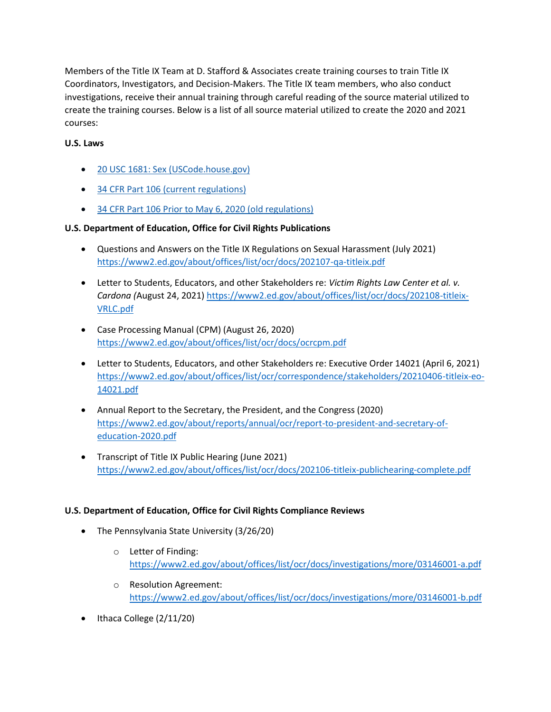Members of the Title IX Team at D. Stafford & Associates create training courses to train Title IX Coordinators, Investigators, and Decision-Makers. The Title IX team members, who also conduct investigations, receive their annual training through careful reading of the source material utilized to create the training courses. Below is a list of all source material utilized to create the 2020 and 2021 courses:

## **U.S. Laws**

- [20 USC 1681: Sex \(USCode.house.gov\)](http://uscode.house.gov/view.xhtml?req=20+USC+1681%3A+Sex&f=treesort&fq=true&num=10&hl=true&edition=prelim&granuleId=USC-prelim-title20-section1681)
- [34 CFR Part 106 \(current regulations\)](https://www.ecfr.gov/cgi-bin/text-idx?SID=69a8d5e1a8a4e43ee9%201685c254404%202c2&mc=true&node=pt34.1.106&rgn=div5)
- [34 CFR Part 106 Prior to May 6, 2020 \(old regulations\)](https://www2.ed.gov/policy/rights/reg/ocr/edlite-34cfr106.html)

## **U.S. Department of Education, Office for Civil Rights Publications**

- Questions and Answers on the Title IX Regulations on Sexual Harassment (July 2021) <https://www2.ed.gov/about/offices/list/ocr/docs/202107-qa-titleix.pdf>
- Letter to Students, Educators, and other Stakeholders re: *Victim Rights Law Center et al. v. Cardona (*August 24, 2021) [https://www2.ed.gov/about/offices/list/ocr/docs/202108-titleix-](https://www2.ed.gov/about/offices/list/ocr/docs/202108-titleix-VRLC.pdf)[VRLC.pdf](https://www2.ed.gov/about/offices/list/ocr/docs/202108-titleix-VRLC.pdf)
- Case Processing Manual (CPM) (August 26, 2020) <https://www2.ed.gov/about/offices/list/ocr/docs/ocrcpm.pdf>
- Letter to Students, Educators, and other Stakeholders re: Executive Order 14021 (April 6, 2021) [https://www2.ed.gov/about/offices/list/ocr/correspondence/stakeholders/20210406-titleix-eo-](https://www2.ed.gov/about/offices/list/ocr/correspondence/stakeholders/20210406-titleix-eo-14021.pdf)[14021.pdf](https://www2.ed.gov/about/offices/list/ocr/correspondence/stakeholders/20210406-titleix-eo-14021.pdf)
- Annual Report to the Secretary, the President, and the Congress (2020) [https://www2.ed.gov/about/reports/annual/ocr/report-to-president-and-secretary-of](https://www2.ed.gov/about/reports/annual/ocr/report-to-president-and-secretary-of-education-2020.pdf)[education-2020.pdf](https://www2.ed.gov/about/reports/annual/ocr/report-to-president-and-secretary-of-education-2020.pdf)
- Transcript of Title IX Public Hearing (June 2021) <https://www2.ed.gov/about/offices/list/ocr/docs/202106-titleix-publichearing-complete.pdf>

## **U.S. Department of Education, Office for Civil Rights Compliance Reviews**

- The Pennsylvania State University (3/26/20)
	- o Letter of Finding: <https://www2.ed.gov/about/offices/list/ocr/docs/investigations/more/03146001-a.pdf>
	- o Resolution Agreement: <https://www2.ed.gov/about/offices/list/ocr/docs/investigations/more/03146001-b.pdf>
- Ithaca College (2/11/20)